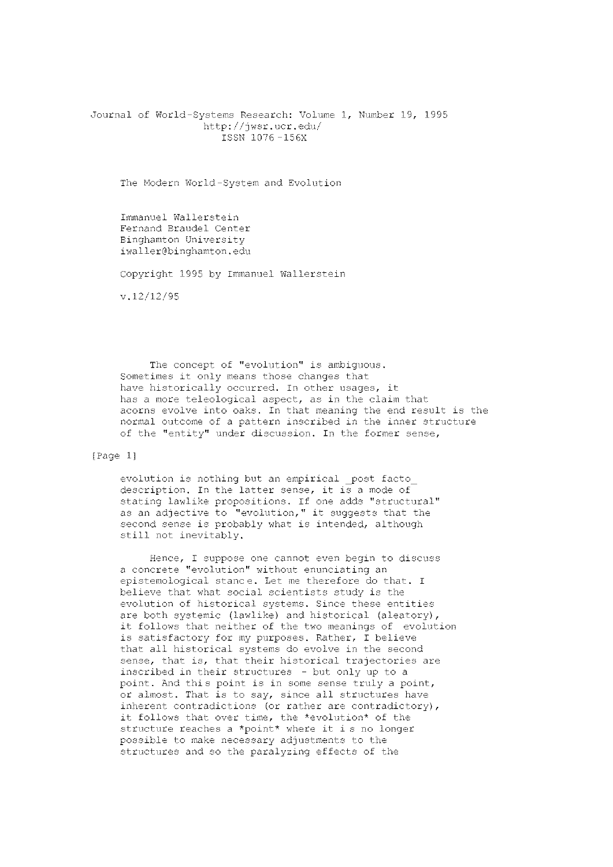Journal of World-Systems Research: Volume 1, Number 19, 1995 http: //jwsr. ucr. edu/ ISSN 1076 -156X

The Modern World-System and Evolution

Immanuel Wallerstein Fernand Braudel Center Binghamton University iwaller@binghamton.edu

Copyright 1995 by Immanuel Wallerstein

v.12/12/95

The concept of "evolution" is ambiguous. Sometimes it only means those changes that have historically occurred. In other usages, it has a more teleological aspect, as in the claim that acorns evolve into oaks. In that meaning the end result is the normal outcome of a pattern inscribed in the inner structure of the "entity" under discussion. In the former sense,

# [Page l]

evolution is nothing but an empirical \_post facto\_ description. In the latter sense, it is a mode of stating lawlike propositions. If one adds "structural" as an adjective to "evolution," it suggests that the second sense is probably what is intended, although still not inevitably.

Hence, I suppose one cannot even begin to discuss a concrete "evolution" without enunciating an epistemological stance. Let me therefore do that. I believe that what social scientists study is the evolution of historical systems. Since these entities are both systemic (lawlike) and historical (aleatory), it follows that neither of the two meanings of evolution is satisfactory for my purposes. Rather, I believe that all historical systems do evolve in the second sense, that is, that their historical trajectories are inscribed in their structures - but only up to a point. And this point is in some sense truly a point, or almost. That is to say, since all structures have inherent contradictions (or rather are contradictory), it follows that over time, the \*evolution\* of the structure reaches a \*point\* where it is no longer possible to make necessary adjustments to the structures and so the paralyzing effects of the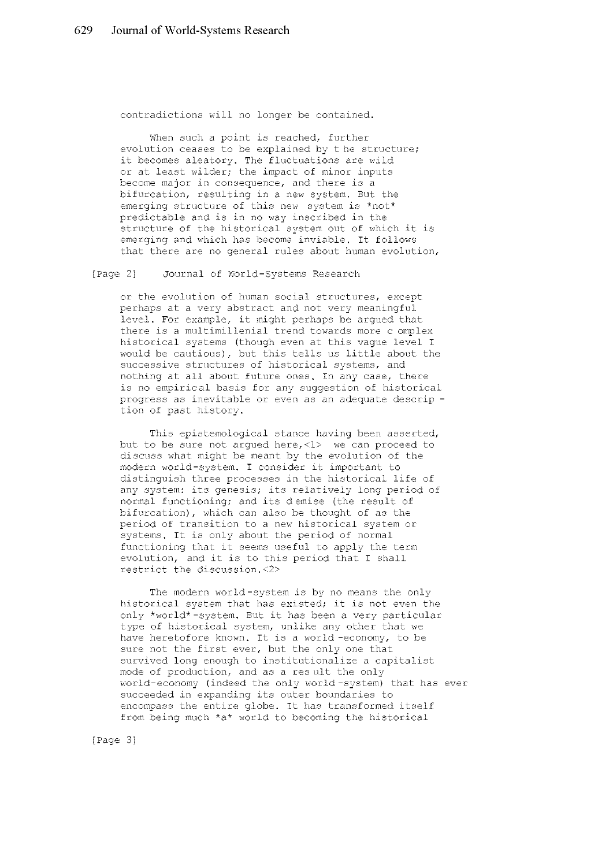contradictions will no longer be contained.

When such a point is reached, further evolution ceases to be explained by the structure; it becomes aleatory. The fluctuations are wild or at least wilder; the impact of minor inputs become major in consequence, and there is a bifurcation, resulting in a new system. But the emerging structure of this new system is \*not\* predictable and is in no way inscribed in the structure of the historical system out of which it is emerging and which has become inviable. It follows that there are no general rules about human evolution,

[Page 2] Journal of World-Systems Research

or the evolution of human social structures, except perhaps at a very abstract and not very meaningful level. For example, it might perhaps be argued that there is a multimillenial trend towards more c omplex historical systems (though even at this vague level I would be cautious), but this tells us little about the successive structures of historical systems, and nothing at all about future ones. In any case, there is no empirical basis for any suggestion of historical progress as inevitable or even as an adequate descrip tion of past history.

This epistemological stance having been asserted, but to be sure not argued here,  $\langle 1 \rangle$  we can proceed to discuss what might be meant by the evolution of the modern world-system. I consider it important to distinguish three processes in the historical life of any system: its genesis; its relatively long period of normal functioning; and its demise (the result of bifurcation), which can also be thought of as the period of transition to a new historical system or systems. It is only about the period of normal functioning that it seems useful to apply the term evolution, and it is to this period that I shall restrict the discussion.<2>

The modern world-system is by no means the only historical system that has existed; it is not even the only \*world\*-system. But it has been a very particular type of historical system, unlike any other that we have heretofore known. It is a world-economy, to be sure not the first ever, but the only one that survived long enough to institutionalize a capitalist mode of production, and as a result the only world-economy (indeed the only world-system) that has ever succeeded in expanding its outer boundaries to encompass the entire globe. It has transformed itself from being much  $*a*$  world to becoming the historical

[Page 3]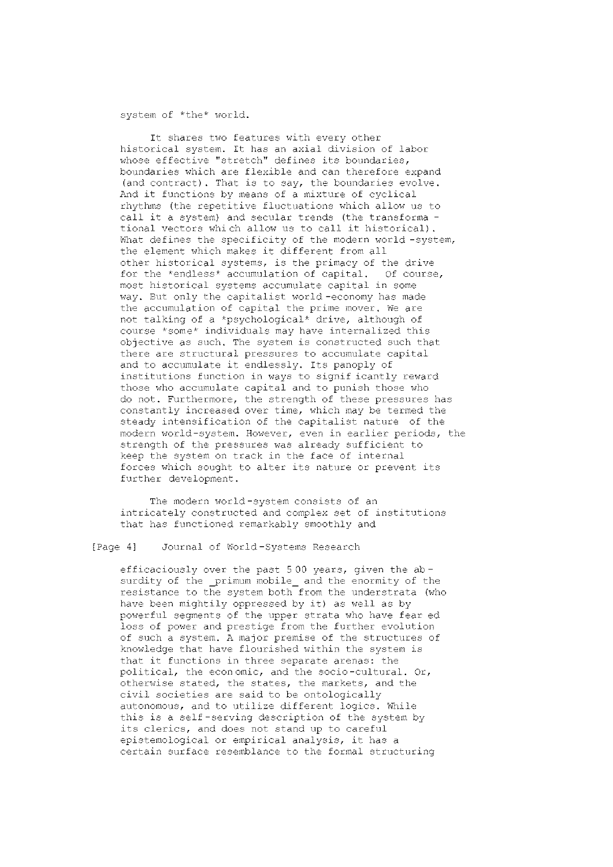system of \*the\* world.

It shares two features with every other historical system. It has an axial division of labor whose effective "stretch" defines its boundaries, boundaries which are flexible and can therefore expand (and contract). That is to say, the boundaries evolve. And it functions by means of a mixture of cyclical rhythms (the repetitive fluctuations which allow us to call it a system) and secular trends (the transforma tional vectors which allow us to call it historical). What defines the specificity of the modern world -system, the element which makes it different from all other historical systems, is the primacy of the drive for the \*endless\* accumulation of capital. Of course, most historical systems accumulate capital in some way. But only the capitalist world-economy has made the accumulation of capital the prime mover. We are not talking of a \*psychological\* drive, although of course \*some\* individuals may have internalized this objective as such. The system is constructed such that there are structural pressures to accumulate capital and to accumulate it endlessly. Its panoply of institutions function in ways to significantly reward those who accumulate capital and to punish those who do not. Furthermore, the strength of these pressures has constantly increased over time, which may be termed the steady intensification of the capitalist nature of the modern world-system. However, even in earlier periods, the strength of the pressures was already sufficient to keep the system on track in the face of internal forces which sought to alter its nature or prevent its further development.

The modern world-system consists of an intricately constructed and complex set of institutions that has functioned remarkably smoothly and

[Page 4] Journal of World-Systems Research

efficaciously over the past 5 00 years, given the ab surdity of the \_primum mobile\_ and the enormity of the resistance to the system both from the understrata (who have been mightily oppressed by it) as well as by powerful segments of the upper strata who have fear ed loss of power and prestige from the further evolution of such a system. A major premise of the structures of knowledge that have flourished within the system is that it functions in three separate arenas: the political, the economic, and the socio-cultural. Or, otherwise stated, the states, the markets, and the civil societies are said to be ontologically autonomous, and to utilize different logics. While this is a self-serving description of the system by its clerics, and does not stand up to careful epistemological or empirical analysis, it has a certain surface resemblance to the formal structuring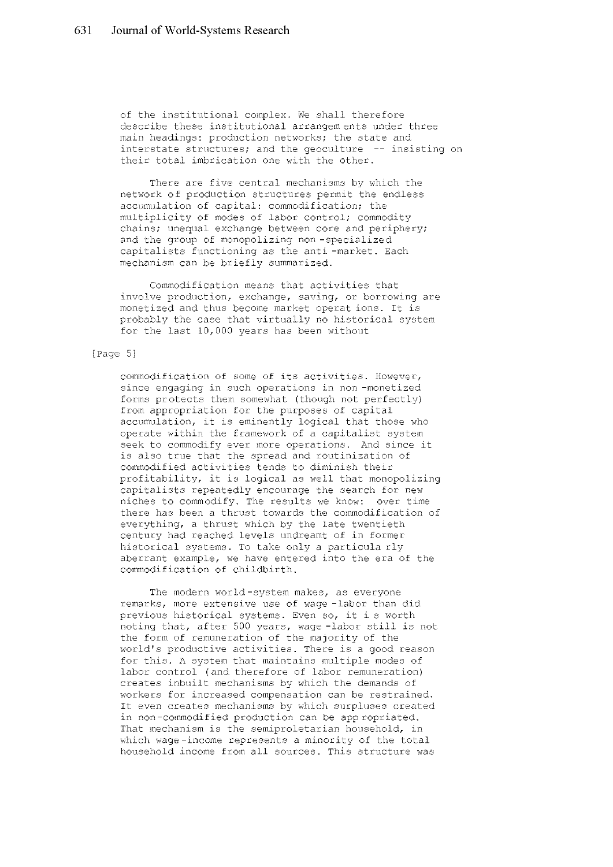of the institutional complex. We shall therefore describe these institutional arrangem ents under three main headings: production networks; the state and interstate structures; and the geoculture -- insisting on their total imbrication one with the other.

There are five central mechanisms by which the network of production structures permit the endless accumulation of capital: commodification; the multiplicity of modes of labor control; commodity chains; unequal exchange between core and periphery; and the group of monopolizing non-specialized capitalists functioning as the anti -market. Each mechanism can be briefly summarized.

Commodification means that activities that involve production, exchange, saving, or borrowing are monetized and thus become market operat ions. It is probably the case that virtually no historical system for the last 10,000 years has been without

### [Page 5]

commodification of some of its activities. However, since engaging in such operations in non-monetized forms protects them somewhat (though not perfectly) from appropriation for the purposes of capital accumulation, it is eminently logical that those who operate within the framework of a capitalist system seek to commodify ever more operations. And since it is also true that the spread and routinization of commodified activities tends to diminish their profitability, it is logical as well that monopolizing capitalists repeatedly encourage the search for new niches to commodify. The results we know: over time there has been a thrust towards the commodification of everything, a thrust which by the late twentieth century had reached levels undreamt of in former historical systems. To take only a particula rly aberrant example, we have entered into the era of the commodification of childbirth.

The modern world-system makes, as everyone remarks, more extensive use of wage-labor than did previous historical systems. Even so, it is worth noting that, after 500 years, wage -labor still is not the form of remuneration of the majority of the world's productive activities. There is a good reason for this. A system that maintains multiple modes of labor control (and therefore of labor remuneration) creates inbuilt mechanisms by which the demands of workers for increased compensation can be restrained. It even creates mechanisms by which surpluses created in non-commodified production can be appropriated. That mechanism is the semiproletarian household, in which wage-income represents a minority of the total household income from all sources. This structure was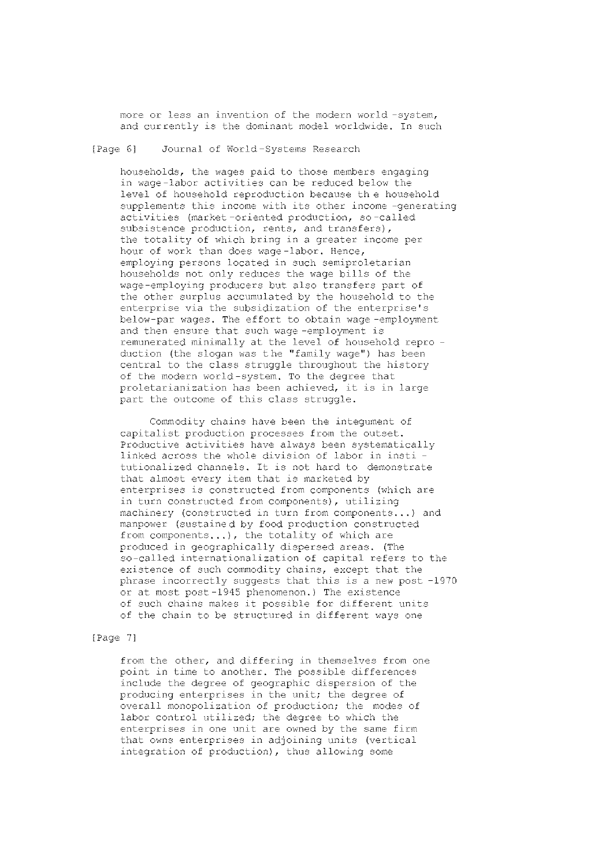more or less an invention of the modern world -system, and currently is the dominant model worldwide. In such

## [Page 6] Journal of World-Systems Research

households, the wages paid to those members engaging in wage -labor activities can be reduced below the level of household reproduction because th e household supplements this income with its other income -generating activities (market-oriented production, so-called subsistence production, rents, and transfers), the totality of which bring in a greater income per hour of work than does wage -labor. Hence, employing persons located in such semiproletarian households not only reduces the wage bills of the wage-employing producers but also transfers part of the other surplus accumulated by the household to the enterprise via the subsidization of the enterprise's below-par wages. The effort to obtain wage-employment and then ensure that such wage-employment is remunerated minimally at the level of household repro duction (the slogan was the "family wage") has been central to the class struggle throughout the history of the modern world-system. To the degree that proletarianization has been achieved, it is in large part the outcome of this class struggle.

Commodity chains have been the integument of capitalist production processes from the outset. Productive activities have always been systematically linked across the whole division of labor in insti tutionalized channels. It is not hard to demonstrate that almost every item that is marketed by enterprises is constructed from components (which are in turn constructed from components), utilizing  $machinery$  (constructed in turn from components...) and 1nanpower (sustained by food production constructed from components...), the totality of which are produced in geographically dispersed areas. (The so-called internationalization of capital refers to the existence of such commodity chains, except that the phrase incorrectly suggests that this is a new post -1970 or at most post-1945 phenomenon.) The existence of such chains makes it possible for different units of the chain to be structured in different ways one

# [Page 7]

from the other, and differing in themselves from one point in time to another. The possible differences include the degree of geographic dispersion of the producing enterprises in the unit; the degree of overall monopolization of production; the modes of labor control utilized; the degree to which the enterprises in one unit are owned by the same firm that owns enterprises in adjoining units (vertical  $integration of production$ , thus allowing some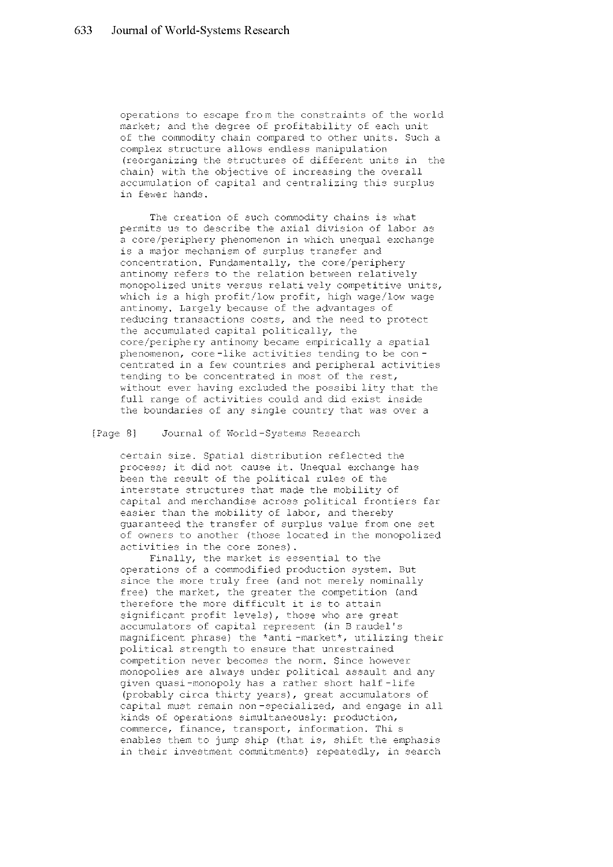operations to escape from the constraints of the world market; and the degree of profitability of each unit of the commodity chain compared to other units. Such a complex structure allows endless manipulation (reorganizing the structures of different units in the chain) with the objective of increasing the overall accumulation of capital and centralizing this surplus in fewer hands.

The creation of such commodity chains is what permits us to describe the axial division of labor as a core/periphery phenomenon in which unequal exchange is a major mechanism of surplus transfer and  $concentration.$  Fundamentally, the  $core/periphery$ antinomy refers to the relation between relatively monopolized units versus relatively competitive units, which is a high profit/low profit, high wage/low wage antinomy. Largely because of the advantages of reducing transactions costs, and the need to protect the accumulated capital politically, the core/periphery antinomy became empirically a spatial phenomenon, core-like activities tending to be concentrated in a few countries and peripheral activities tending to be concentrated in most of the rest, without ever having excluded the possibility that the full range of activities could and did exist inside the boundaries of any single country that was over a

## [Page 8] Journal of World-Systems Research

certain size. Spatial distribution reflected the process; it did not cause it. Unequal exchange has been the result of the political rules of the interstate structures that made the mobility of capital and merchandise across political frontiers far easier than the mobility of labor, and thereby guaranteed the transfer of surplus value from one set of owners to another (those located in the monopolized activities in the core zones).

Finally, the market is essential to the operations of a commodified production system. But since the more truly free (and not merely nominally free) the market, the greater the competition (and therefore the more difficult it is to attain significant profit levels), those who are great accumulators of capital represent (in B raudel's magnificent phrase) the \*anti-market\*, utilizing their political strength to ensure that unrestrained competition never becomes the norm. Since however 1nonopolies are always under political assault and any given quasi-monopoly has a rather short half-life (probably circa thirty years), great accumulators of capital must remain non-specialized, and engage in all kinds of operations simultaneously: production, commerce, finance, transport, information. Thi s enables them to jump ship (that is, shift the emphasis in their investment commitments) repeatedly, in search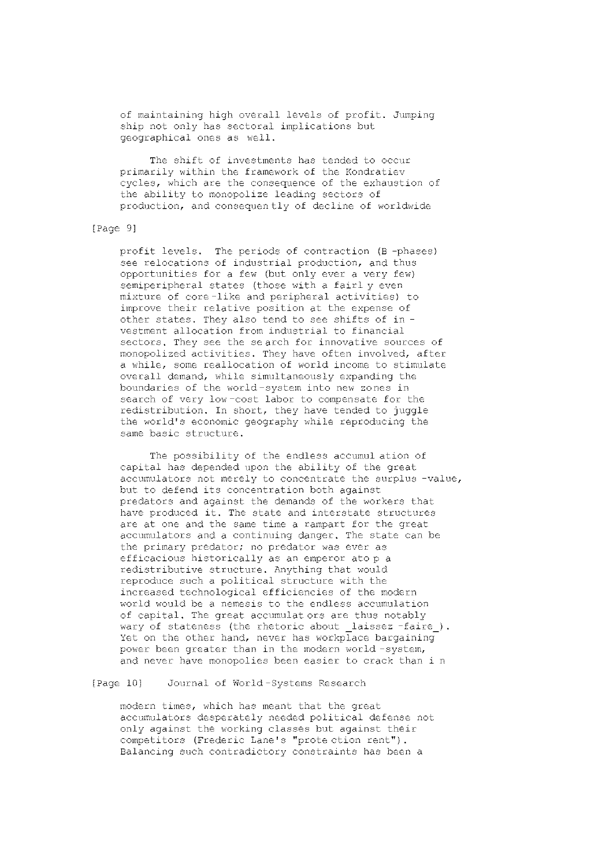of maintaining high overall levels of profit. Jumping ship not only has sectoral implications but geographical ones as well.

The shift of investments has tended to occur primarily within the framework of the Kondratiev cycles, which are the consequence of the exhaustion of the ability to monopolize leading sectors of production, and consequently of decline of worldwide

### [Page 9]

profit levels. The periods of contraction (B -phases) see relocations of industrial production, and thus opportunities for a few (but only ever a very few) semiperipheral states (those with a fairly even 1nixture of core -like and peripheral activities) to improve their relative position at the expense of other states. They also tend to see shifts of in vestment allocation from industrial to financial sectors. They see the search for innovative sources of 1nonopolized activities. They have often involved, after a while, some reallocation of world income to stimulate overall demand, while simultaneously expanding the boundaries of the world-system into new zones in search of very low-cost labor to compensate for the redistribution. In short, they have tended to juggle the world's economic geography while reproducing the same basic structure.

The possibility of the endless accumul ation of capital has depended upon the ability of the great accumulators not merely to concentrate the surplus -value, but to defend its concentration both against predators and against the demands of the workers that have produced it. The state and interstate structures are at one and the same time a rampart for the great accumulators and a continuing danger. The state can be the primary predator; no predator was ever as efficacious historically as an emperor ato p a redistributive structure. Anything that would reproduce such a political structure with the increased technological efficiencies of the modern world would be a nemesis to the endless accumulation of capital. The great accumulat ors are thus notably wary of stateness (the rhetoric about laissez -faire ). Yet on the other hand, never has workplace bargaining power been greater than in the modern world -system, and never have monopolies been easier to crack than i n

# [Page 10] Journal of World-Systems Research

modern times, which has meant that the great accumulators desperately needed political defense not only against the working classes but against their competitors (Frederic Lane's "protection rent"). Balancing such contradictory constraints has been a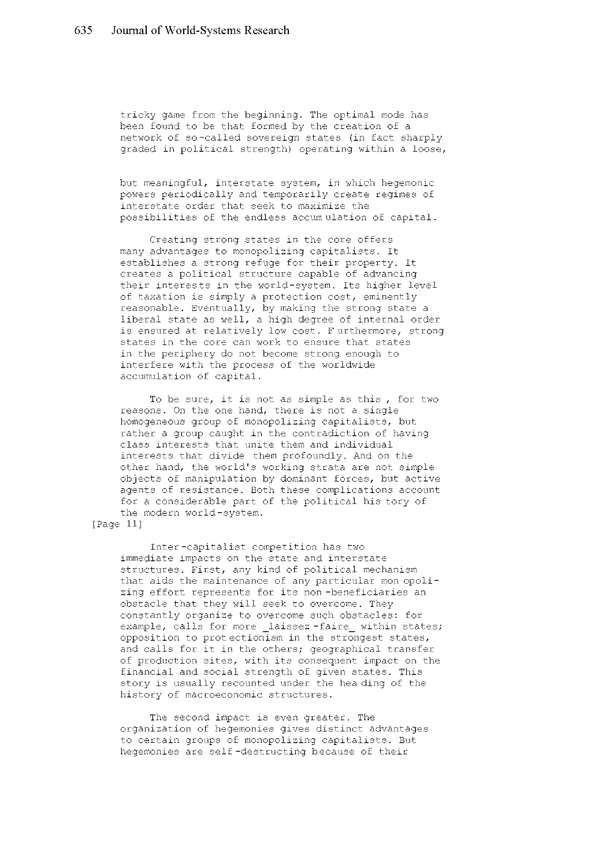tricky game from the beginning. The optimal mode has been found to be that formed by the creation of a network of so-called sovereign states (in fact sharply graded in political strength) operating within a loose,

but meaningful, interstate system, in which hegemonic powers periodically and temporarily create regimes of interstate order that seek to maximize the possibilities of the endless accum ulation of capital.

Creating strong states in the core offers many advantages to monopolizing capitalists. It establishes a strong refuge for their property. It creates a political structure capable of advancing their interests in the world-system. Its higher level of taxation is simply a protection cost, eminently reasonable. Eventually, by making the strong state a liberal state as well, a high degree of internal order is ensured at relatively low cost. Furthermore, strong states in the core can work to ensure that states in the periphery do not become strong enough to interfere with the process of the worldwide accumulation of capital.

To be sure, it is not as simple as this, for two reasons. On the one hand, there is not a single homogeneous group of monopolizing capitalists, but rather a group caught in the contradiction of having class interests that unite them and individual interests that divide them profoundly. And on the other hand, the world's working strata are not simple objects of manipulation by dominant forces, but active agents of resistance. Both these complications account for a considerable part of the political history of the modern world-system.

[Page 11]

Inter-capitalist competition has two immediate impacts on the state and interstate structures. First, any kind of political mechanism that aids the maintenance of any particular mon opolizing effort represents for its non -beneficiaries an obstacle that they will seek to overcome. They constantly organize to overcome such obstacles: for example, calls for more laissez-faire within states; opposition to protectionism in the strongest states, and calls for it in the others; geographical transfer of production sites, with its consequent impact on the financial and social strength of given states. This story is usually recounted under the hea ding of the history of macroeconomic structures.

The second impact is even greater. The organization of hegemonies gives distinct advantages to certain groups of monopolizing capitalists. But hegemonies are self-destructing because of their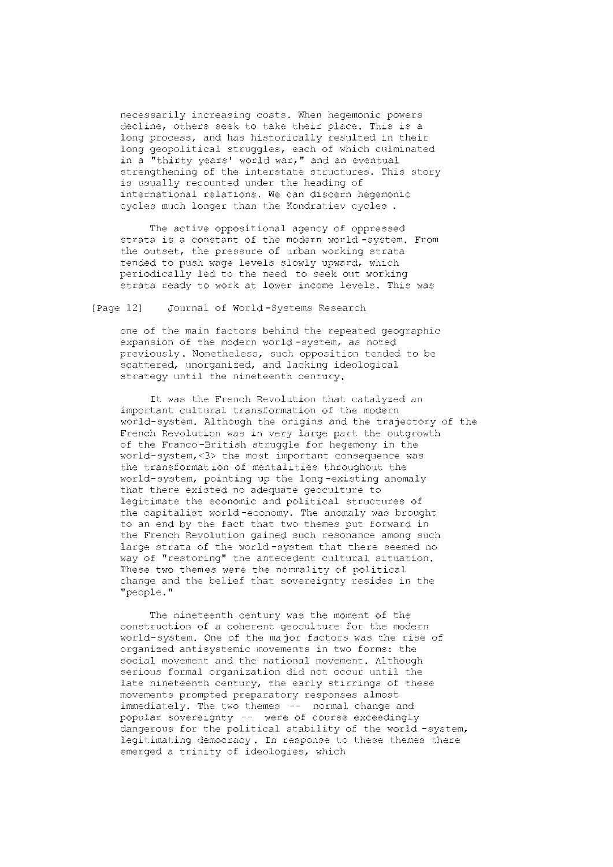necessarily increasing costs. When hegemonic powers decline, others seek to take their place. This is a long process, and has historically resulted in their long geopolitical struggles, each of which culminated in a "thirty years' world war," and an eventual strengthening of the interstate structures. This story is usually recounted under the heading of international relations. We can discern hegemonic cycles much longer than the Kondratiev cycles.

The active oppositional agency of oppressed strata is a constant of the modern world -system. From the outset, the pressure of urban working strata tended to push wage levels slowly upward, which periodically led to the need to seek out working strata ready to work at lower income levels. This was

### [Page 12] Journal of World-Systems Research

one of the main factors behind the repeated geographic expansion of the modern world -system, as noted previously. Nonetheless, such opposition tended to be scattered, unorganized, and lacking ideological strategy until the nineteenth century.

It was the French Revolution that catalyzed an important cultural transformation of the modern world-system. Although the origins and the trajectory of the French Revolution was in very large part the outgrowth of the Franco-British struggle for hegemony in the world-system, <3> the most important consequence was the transformation of mentalities throughout the world-system, pointing up the long-existing anomaly that there existed no adequate geoculture to legitimate the economic and political structures of the capitalist world-economy. The anomaly was brought to an end by the fact that two themes put forward in the French Revolution gained such resonance among such large strata of the world-system that there seemed no way of "restoring" the antecedent cultural situation. These two themes were the normality of political change and the belief that sovereignty resides in the "people."

The nineteenth century was the moment of the construction of a coherent geoculture for the modern world-system. One of the major factors was the rise of organized antisystemic movements in two forms: the social movement and the national movement. Although serious formal organization did not occur until the late nineteenth century, the early stirrings of these movements prompted preparatory responses almost immediately. The two themes -- normal change and popular sovereignty -- were of course exceedingly dangerous for the political stability of the world -system, legitimating democracy. In response to these themes there emerged a trinity of ideologies, which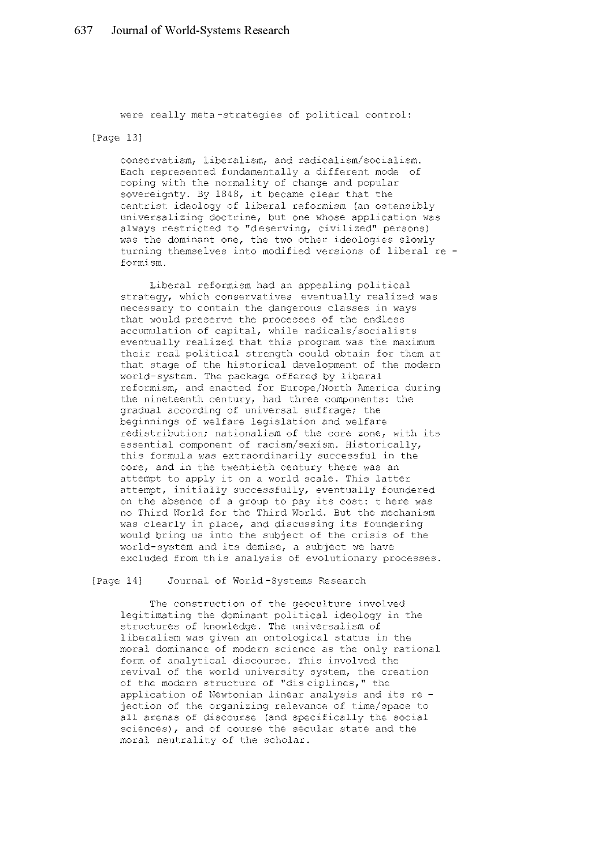were really meta-strategies of political control:

#### [Page 13]

conservatism, liberalism, and radicalism/socialism. Each represented fundamentally a different mode of coping with the normality of change and popular sovereignty. By 1848, it became clear that the centrist ideology of liberal reformism (an ostensibly universalizing doctrine, but one whose application was always restricted to "deserving, civilized" persons) was the dominant one, the two other ideologies slowly turning themselves into modified versions of liberal re formism.

Liberal reformism had an appealing political strategy, which conservatives eventually realized was necessary to contain the dangerous classes in ways that would preserve the processes of the endless accumulation of capital, while radicals/socialists eventually realized that this program was the maximum their real political strength could obtain for them at that stage of the historical development of the modern world-system. The package offered by liberal reformism, and enacted for Europe/North America during the nineteenth century, had three components: the gradual according of universal suffrage; the beginnings of welfare legislation and welfare redistribution; nationalism of the core zone, with its essential component of racism/sexism. Historically, this formula was extraordinarily successful in the core, and in the twentieth century there was an attempt to apply it on a world scale. This latter attempt, initially successfully, eventually foundered on the absence of a group to pay its cost: there was no Third World for the Third World. But the mechanism was clearly in place, and discussing its foundering would bring us into the subject of the crisis of the world-system and its demise, a subject we have excluded from this analysis of evolutionary processes.

## [Page 14] Journal of World -Systems Research

The construction of the geoculture involved legitimating the dominant political ideology in the structures of knowledge. The universalism of liberalism was given an ontological status in the moral dominance of modern science as the only rational form of analytical discourse. This involved the revival of the world university system, the creation of the modern structure of "disciplines," the application of Newtonian linear analysis and its re jection of the organizing relevance of time/space to all arenas of discourse (and specifically the social sciences), and of course the secular state and the moral neutrality of the scholar.